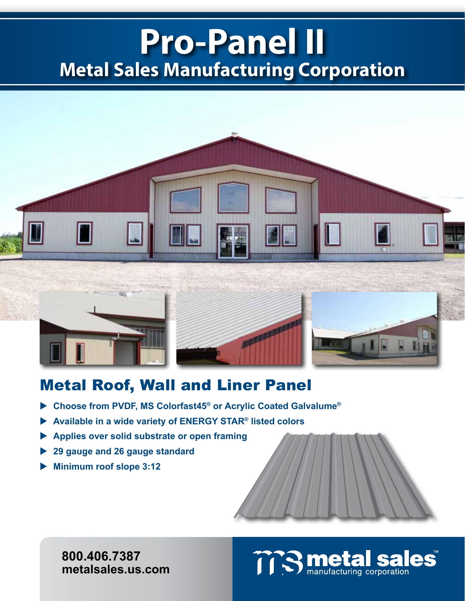## **Pro-Panel II Metal Sales Manufacturing Corporation**



### Metal Roof, Wall and Liner Panel

- **Choose from PVDF, MS Colorfast45® or Acrylic Coated Galvalume®**
- **Available in a wide variety of ENERGY STAR® listed colors**
- **Applies over solid substrate or open framing**
- **29 gauge and 26 gauge standard**
- **Minimum roof slope 3:12**